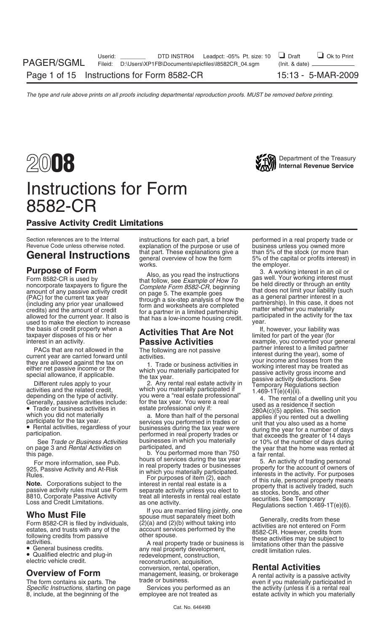# Instructions for Form 8582-CR

# Passive Activity Credit Limitations

the basis of credit property when a **If, however, your liability was** taxpayer disposes of his or her **Activities That Are Not** limited for part of the year (for interest in an activity. **Passive Activities** example, you c

PACs that are not allowed in the<br>
the particular conventions are compared forward unit activities.<br>
they are carried forward unit activities the year), some of<br>
they are calcular the year), some of<br>
the particular conventi

*Specific Instructions*, starting on page Services you performed a<br>8, include, at the beginning of the employee are not treated as

explanation of the purpose or use of business unless you owned more<br>that part. These explanations give a bthan 5% of the stock (or more than works. The employer.

b. You performed more than 750 a fair rental.<br>hours of services during the tax year an act

electric vehicle credit. **Exercic conversion, acquisition,**<br>
Conversion, rental, operation, **Rental Activities**<br>
The form contains six parts. The trade or business. The seven if you materially participated in

Section references are to the Internal instructions for each part, a brief performed in a real property trade or<br>Revenue Code unless otherwise noted. explanation of the purpose or use of business unless you owned more **General Instructions** general overview of how the form 5% of the stock (or more than  $\frac{1}{2}$  in  $\frac{1}{2}$  in  $\frac{1}{2}$  interest) in

**Purpose of Form**<br>
Form 8582-CR is used by<br>
noncorporate taxpayers to figure the<br>
moncorporate taxpayers to figure the<br>
moncorporate taxpayers to figure the<br>
moncorporate taxpayers to figure the<br>
complete Form 8582-CR, beg

example, you converted your general<br>partner interest to a limited partner

See *Trade or Business Activities* businesses in which you materially and that exceeds the greater of 14 days<br>See *Trade or Business Activities* businesses in which you materially or 10% of the number of days during<br>age 3 on page 3 and *Rental Activities* on participated, and the year that the home was rented at

For more information, see Pub.<br>
The price of the state in which you materially participated.<br>
The real property trades or businesses in the count of owners of the secould in the secould in the secould interest in the accup

The form contains six parts. The even if you materially participated in trade or business. estate activity in which you materially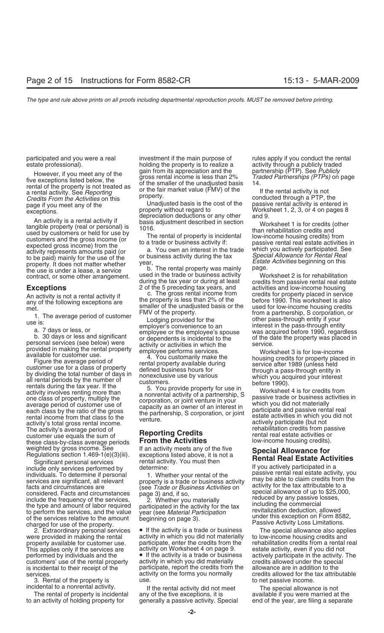However, if you meet any of the gain from its appreciation and the partnership (PTP). See Publicly<br>five exceptions listed below, the gross rental income is less than 2% Traded Partnerships (PTPs) on page<br>of the smaller of *Credits From the Activities* on this property.<br>
page if you meet any of the Unadjusted basis is the cost of the passive rental activity is entered in<br>
exceptions.<br>
Property without regard to Morksheet 1, 2, 3, or 4 on pag

An activity is a rental activity if<br>
An activity is a rental activity if<br>
tangible property (real or personal) is<br>
used by customers or held for use by<br>
customers and the gross income (or<br>
expected gross income) from the<br>

rentals during the tax year. If the the and activity of a partnership, S<br>activity involves renting more than<br>one class of property, multiply the<br>average period of customer use of<br>each class by the ratio of the gross<br>rental activity's total gross rental income.<br>The activity's average period of **reporting Credits** rehabilitation credits from passive<br>customer use equals the sum of **Reporting Credits** rental real estate activities or customer use equals the sum of **Reporting Credits** relationships the rental real estate activities or<br>these class-by-class average periods **From the Activities** low-income housing credits). these class-by-class average periods

include only services performed by<br>include only services performed by<br>include only services performed by<br>services are significant, all relevant<br>facts and circumstances are<br>facts and circumstances are<br>considered. Facts and

3. Rental of the property is use.<br>incidental to a nonrental activity. The structure income incidental to a nonrental activity.

to an activity of holding property for generally a passive activity. Special end of the year, are filing a separate

participated and you were a real investment if the main purpose of rules apply if you conduct the rental estate professional). holding the property is to realize a activity through a publicly traded<br>However if you meet envior the gain from its appreciation and the partnership (PTP). See Publicly

property without regard to example worksheet 1, 2, 3, or 4 on pages 8 depreciation deductions or any other and 9.

the use is under a lease, a service<br>contract, or some other arrangement. Used in the trade or business activity Worksheet 2 is for rehabilitation<br>during the tax year or during at least credits from passive rental real esta

An activity is not a rental activity if<br>any of the following exceptions are the property is less than 2% of the before 1990. This worksheet is also<br>maller of the unadjusted basis or the used for low-income housing credits

weighted by gross income. See If an activity meets any of the five **Special Allowance for**<br>Regulations section 1.469-1(e)(3)(iii). exceptions listed above, it is not a<br>Significant personal services rental activity. You mus

charged for use of the property.<br>
2. Extraordinary personal services ● If the activity is a trade or business The special allowance also applies<br>
were provided in making the rental activity in which you did not materially were provided in making the rental activity in which you did not materially property available for customer use. participate, enter the credits from the property available for customer use. participate, enter the credits from the rehabilitation credits from a rental real This applies only if the services are activity on Worksheet 4 on page 9. estate activity, even if you did not performed by individuals and the  $\bullet$  If the activity is a trade or business actively participate in the activit  $\bullet$  If the activity is a trade or business actively participate in the activity. The activity in which you did materially credits allowed under the special customers' use of the rental property activity in which you did materially credits allowed under the special<br>is incidental to their receipt of the participate, report the credits from the allowance are in addition to the is incidental to their receipt of the participate, report the credits from the services. **Activity on the forms you normally** credits allowed for the tax attributable

If the rental activity did not meet The special allowance is not The rental of property is incidental any of the five exceptions, it is available if you were married at the

credits from passive rental real estate<br>activities and low-income housing **Exceptions** 2 of the 5 preceding tax years, and activities and low-income housing<br>An activity is not a rental activity if c. The gross rental income from credits for property placed in service and the smaller of the unadjusted basis or the<br>
text of the property.<br>
The average period of customer<br>
text of the property.<br>
The average period of customer<br>
Lodging provided for the<br>
text of the property.<br>
a. 7 days or le

provided in making the rental property<br>available for customer use. Tigure the average period of<br>customer use for a class of property<br>by dividing the total number of days in<br>all rental property available during<br>all rental p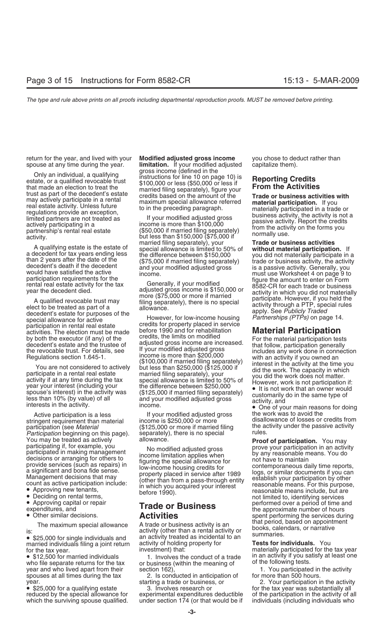return for the year, and lived with your **Modified adjusted gross income** you chose to deduct rather than spouse at any time during the year. **Ilimitation.** If your modified adjusted capitalize them).

trust as part of the decedent's estate<br>
may actively participate in a rental<br>
real estate activity. Unless future<br>
real estate activity. Unless future<br>
regulations provide an exception,<br>
limited partners are not treated as

stringent requirement than material income is \$250,000 or more<br>incontricipation (see *Material* from the credits from the credits filosophic filosophic filosophic filosophic participation (see *Material* (\$125,000 or more if married filing the activity under the passive activity entity<br>*Participation* beginning on this page) separately) there is no special rules. *Participation* beginning on this page). separately), there is no special You may be treated as actively allowance.

- 
- 
- 
- 

• \$25,000 for single individuals and an activity treated as incidental to an married individuals. You married individuals. You for the tax year. **Tests for individuals.** You

year and who lived apart from their section 162) spouses at all times during the tax 2. Is conducted in anticipation of for more than 500 hours.<br>year. 2. Your participation in the activity

**limitation.** If your modified adjusted capitalize them). gross income (defined in the<br>instructions for line 10 on pay<br>estate, or a qualified revocable trust<br>\$100,000 or less (\$50,000 or Unity an individual, a qualitying<br>estate, or a qualified revocable trust<br>that made an election to treat the<br>trust as part of the decedent's estate<br>origins credits based on the amount of the<br>credits based on the amount of t

married filing separately), your **Trade or business activities** A qualifying estate is the estate of special allowance is limited to 50% of **without material participation.** If

entingly and for rehabilitation<br>activities. The election must be made<br>by both the executor (if any) of the<br>decedent's estate and the trustee of<br>decedent's estate and the trustee of<br>decedent's estate and the trustee of<br>acti

The maximum special allowance A trade or business activity is an that period, based on appointment<br>is:<br>• \$25,000 for single individuals and an activity treated as incidental to an summaries.

or business (within the meaning of or the following tests.<br>section 162), or business the meaning of the following tests.

which the surviving spouse qualified. under section 174 (or that would be if individuals (including individuals who

a decedent for tax years ending less<br>the difference between \$150,000 you did not materially participate in a<br>than 2 years after the date of the (\$75,000 if married filing separately) trade or business activity, the activit year the decedent died.<br>
A qualified revocable trust may<br>
adjusted gross income is \$150,000 or<br>
more (\$75,000 or more if married<br>
activity in which you did not materially<br>
participate. However, if you held the<br>
elect to be

Active participation is a less If your modified adjusted gross the work was to avoid the<br>
ingent requirement than material income is \$250,000 or more disallowance of losses or credits from

You may be treated as actively allowance. **Proof of participation.** You may participation is a catively allowance. **Proof of participation.** You may participation is a cyclispation in an activity participation in an activ

for the tax year.<br>• \$12,500 for married individuals **incurrent in the conduct of a trade** in an activity if you satisfy at least one • \$12,500 for married individuals 1. Involves the conduct of a trade in an activity if you satisfy at least one who file separate returns for the tax or business (within the meaning of of the following tests.

year. starting a trade or business, or and the activity of the tax year in the activity of a qualifying estate<br>Sall nvolves research or for the tax year was substantially all<br>The tax year was substantially all reduced by t of the participation in the activity of all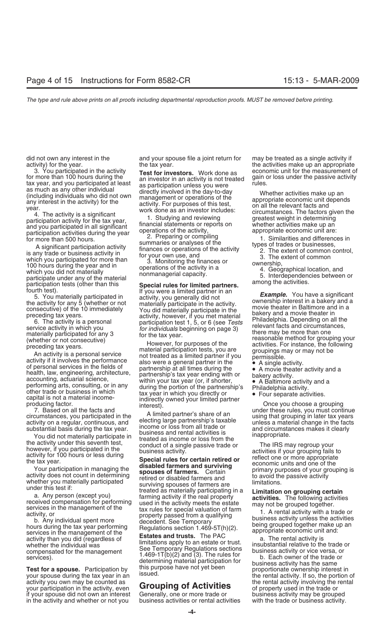activity you own may be counted as **Grouping of Activities** the rental activity involving the rental your participation in the activity, even **Grouping of Activities** of property used in the trade or your participation in the activity, even **Grouping of Activities**<br>if your spouse did not own an interest Generally, one or more trade or if your spouse did not own an interest Generally, one or more trade or business activity may be grouped in the activity and whether or not you business activities or rental activities with the trade or business activity.

did not own any interest in the and your spouse file a joint return for may be treated as a single activity if activity) for the year. The tax year. the tax year. The activities make up an appropriate

3. Ο καιριστιαμεία on the activity that for three spaces of the content unit the measurement of the activity in the activity of the desired on the activity in the activity of the desired on the desired in the desired in

- 
- 
- 
- 
- 
-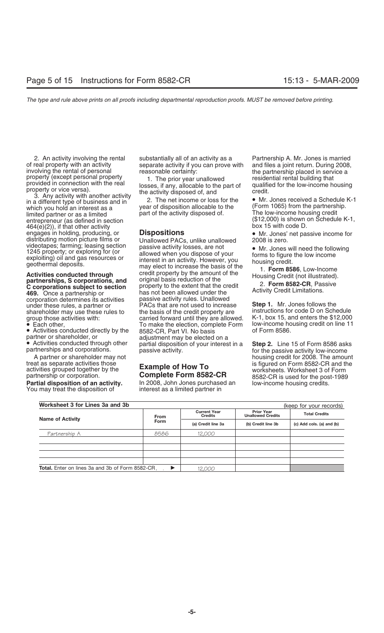in a different type of business and in a different type of business and in the value of disposition allocable to the (Form 1065) from the partnership.<br>
limited partners as a limited to the activity disposed of the activity entrepreneur (as defined in section entrepreneur (\$12,000) is shown on Schedule K-1, and Schedule K-1, and Schedule K-1, and Schedule K-1, and Schedule K-1, and Schedule K-1, and Schedule K-1, and Schedule K-1, and Schedul  $464(e)(2)$ ), if that other activity<br>engages in holding, producing, or **Dispositions** engages in holding, producing, or **Dispositions** • Mr. Jones' net passive income for distributing motion picture films or Unallowed PACs, unlike unallowed 2008 is zero.<br>
videotapes; farming; leasing section passive activit

**469.** Once a partnership or has not been allowed under the corporation determines its activities passive activity rules. Unallowed

• Activities conducted directly by the partner or shareholder, or

You may treat the disposition of

2. An activity involving the rental substantially all of an activity as a Partnership A. Mr. Jones is married

videotapes; farming; leasing section<br>
1245 property; or exploring for (or allowed when you dispose of your<br>
geothermal deposits.<br> **Activities conducted through** and server in an activity. However, you<br> **Activities conducte** under these rules, a partner or **PACs** that are not used to increase **Step 1.** Mr. Jones follows the shareholder may use these rules to the basis of the credit property are instructions for code D on Schedule shareholder may use these rules to the basis of the credit property are instructions for code D on Schedule group those activities with: carried forward until they are allowed. K-1, box 15, and enters the \$12,000 group those activities with: carried forward until they are allowed. K-1, box 15, and enters the \$12,000<br>● Each other, To make the election, complete Form low-income housing credit on line 11 To make the election, complete Form low-income hously complete form low-income hously credit on line 11.<br>8582-CR, Part VI. No basis partner or shareholder, or adjustment may be elected on a<br>• Activities conducted through other partial disposition of your interest in a **Step 2.** Line 15 of Form 8586 asks<br>partnerships and corporations. passive activity. passive activity. example and corporations of the passive activity low-income

In 2008, John Jones purchased an activity low-income housing credits.<br>interest as a limited partner in

of real property with an activity<br>involving the rental of personal<br>property (except personal property<br>property (except personal property<br>provided in connection with the real<br>property or vice versa).<br>3. Any activity with an

limited partner or as a limited activity disposed of the activity disposed of the low-income housing credit li<br>
entrepreneur (as defined in section entrepreneur (as defined in section

A partner or shareholder may not<br>treat as separate activities those **how To**<br>is figured on Form 8582-CR and the treat as separate activities those **interprettient is figured on Form 8582-CR and the activities grouped together by the <b>Example of How To** activities grouped together by the **Complete Form 8582-CR** worksheets. Worksheet partnership or corporation.<br>**Partial disposition of an activity.** The 2008, John Jones purchased an The low-income housing credits.

| Worksheet 3 for Lines 3a and 3b<br>(keep for your records) |                                                      |                    |                                               |                           |  |
|------------------------------------------------------------|------------------------------------------------------|--------------------|-----------------------------------------------|---------------------------|--|
| <b>Name of Activity</b>                                    | <b>Current Year</b><br><b>Credits</b><br><b>From</b> |                    | <b>Prior Year</b><br><b>Unallowed Credits</b> | <b>Total Credits</b>      |  |
|                                                            | Form                                                 | (a) Credit line 3a | (b) Credit line 3b                            | (c) Add cols. (a) and (b) |  |
| Partnership A                                              | 8586                                                 | 12.000             |                                               |                           |  |
|                                                            |                                                      |                    |                                               |                           |  |
|                                                            |                                                      |                    |                                               |                           |  |
|                                                            |                                                      |                    |                                               |                           |  |
|                                                            |                                                      |                    |                                               |                           |  |
| <b>Total.</b> Enter on lines 3a and 3b of Form 8582-CR.    | ▶                                                    | 12,000             |                                               |                           |  |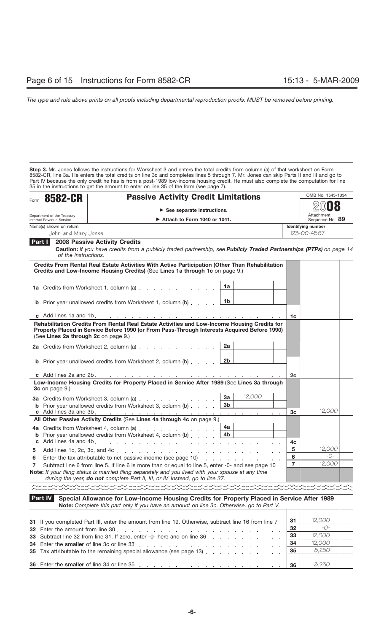**Step 3.** Mr. Jones follows the instructions for Worksheet 3 and enters the total credits from column (a) of that worksheet on Form 8582-CR, line 3a. He enters the total credits on line 3c and completes lines 5 through 7. Mr. Jones can skip Parts II and III and go to Part IV because the only credit he has is from a post-1989 low-income housing credit. He must also complete the computation for line 35 in the instructions to get the amount to enter on line 35 of the form (see page 7).

| <b>8582-CR</b>                                 | <b>Passive Activity Credit Limitations</b>                                                                                                                                                                                                                                                |                | OMB No. 1545-1034                        |
|------------------------------------------------|-------------------------------------------------------------------------------------------------------------------------------------------------------------------------------------------------------------------------------------------------------------------------------------------|----------------|------------------------------------------|
| Form                                           |                                                                                                                                                                                                                                                                                           |                |                                          |
| Department of the Treasury                     | $\triangleright$ See separate instructions.                                                                                                                                                                                                                                               |                | Attachment                               |
| Internal Revenue Service                       | $\triangleright$ Attach to Form 1040 or 1041.                                                                                                                                                                                                                                             |                | Sequence No. 89                          |
| Name(s) shown on return<br>John and Mary Jones |                                                                                                                                                                                                                                                                                           |                | <b>Identifying number</b><br>123-00-4567 |
| Part I                                         | <b>2008 Passive Activity Credits</b>                                                                                                                                                                                                                                                      |                |                                          |
| of the instructions.                           | Caution: If you have credits from a publicly traded partnership, see Publicly Traded Partnerships (PTPs) on page 14                                                                                                                                                                       |                |                                          |
|                                                | Credits From Rental Real Estate Activities With Active Participation (Other Than Rehabilitation<br>Credits and Low-Income Housing Credits) (See Lines 1a through 1c on page 9.)                                                                                                           |                |                                          |
|                                                | 1a<br><b>1a</b> Credits from Worksheet 1, column (a) [14]                                                                                                                                                                                                                                 |                |                                          |
|                                                | 1b<br><b>b</b> Prior year unallowed credits from Worksheet 1, column (b)                                                                                                                                                                                                                  |                |                                          |
|                                                |                                                                                                                                                                                                                                                                                           | 1c             |                                          |
| (See Lines 2a through 2c on page 9.)           | 2a<br><b>2a</b> Credits from Worksheet 2, column (a)<br>2 <sub>b</sub><br><b>b</b> Prior year unallowed credits from Worksheet 2, column $(b)$ , $(1, 2)$                                                                                                                                 |                |                                          |
|                                                |                                                                                                                                                                                                                                                                                           | 2c             |                                          |
| 3c on page 9.)                                 | Low-Income Housing Credits for Property Placed in Service After 1989 (See Lines 3a through<br>12,000<br>За<br>3a Credits from Worksheet 3, column (a)<br>3 <sub>b</sub>                                                                                                                   |                |                                          |
|                                                | <b>b</b> Prior year unallowed credits from Worksheet 3, column (b)                                                                                                                                                                                                                        | 3 <sub>c</sub> | 12.000                                   |
|                                                | All Other Passive Activity Credits (See Lines 4a through 4c on page 9.)                                                                                                                                                                                                                   |                |                                          |
|                                                | 4a<br>4a Credits from Worksheet 4, column (a)                                                                                                                                                                                                                                             |                |                                          |
|                                                | <b>b</b> Prior year unallowed credits from Worksheet 4, column (b) $\ldots$ $\overline{4b}$                                                                                                                                                                                               |                |                                          |
|                                                |                                                                                                                                                                                                                                                                                           | 4c             |                                          |
| 5                                              |                                                                                                                                                                                                                                                                                           | 5              | 12,000                                   |
| 6                                              | Enter the tax attributable to net passive income (see page 10)                                                                                                                                                                                                                            | 6              | $ \bigcirc$ -<br>12,000                  |
| 7                                              | Subtract line 6 from line 5. If line 6 is more than or equal to line 5, enter -0- and see page 10<br>Note: If your filing status is married filing separately and you lived with your spouse at any time<br>during the year, do not complete Part II, III, or IV. Instead, go to line 37. | $\overline{7}$ |                                          |
|                                                |                                                                                                                                                                                                                                                                                           |                |                                          |
| Part IV                                        | Special Allowance for Low-Income Housing Credits for Property Placed in Service After 1989<br>Note: Complete this part only if you have an amount on line 3c. Otherwise, go to Part V.                                                                                                    |                |                                          |

| 31 If you completed Part III, enter the amount from line 19. Otherwise, subtract line 16 from line 7                                                          | 31   | 12,000       |  |
|---------------------------------------------------------------------------------------------------------------------------------------------------------------|------|--------------|--|
| 32 Enter the amount from line 30.                                                                                                                             | 32   | $ \bigcap$ - |  |
| 33 Subtract line 32 from line 31. If zero, enter -0- here and on line 36 manuscript and subtract line 32 from line 31. If zero, enter -0- here and on line 36 | -33  | 12,000       |  |
|                                                                                                                                                               | - 34 | 12,000       |  |
| 35 Tax attributable to the remaining special allowance (see page 13) $\boxed{35}$                                                                             |      | 8,250        |  |
|                                                                                                                                                               |      |              |  |
| 36 Enter the smaller of line 34 or line 35 enter and the smaller of line 34 or line 35                                                                        | 36   | 8.250        |  |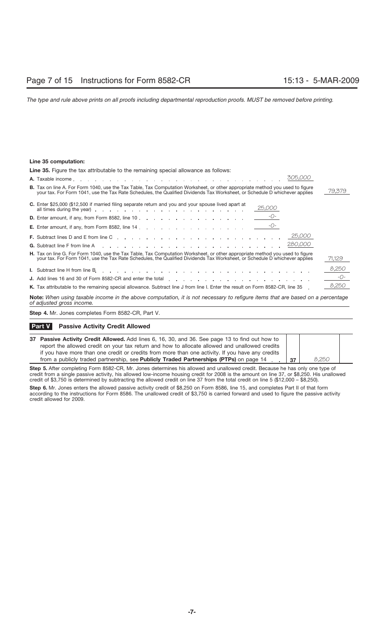# **Line 35 computation:**

| <b>Line 35.</b> Figure the tax attributable to the remaining special allowance as follows:                                                                                                                                                                                                                                                                                                                                                                   |        |
|--------------------------------------------------------------------------------------------------------------------------------------------------------------------------------------------------------------------------------------------------------------------------------------------------------------------------------------------------------------------------------------------------------------------------------------------------------------|--------|
| 305,000                                                                                                                                                                                                                                                                                                                                                                                                                                                      |        |
| <b>B.</b> Tax on line A. For Form 1040, use the Tax Table, Tax Computation Worksheet, or other appropriate method you used to figure<br>your tax. For Form 1041, use the Tax Rate Schedules, the Qualified Dividends Tax Worksheet, or Schedule D whichever applies                                                                                                                                                                                          | 79,379 |
| <b>C.</b> Enter \$25,000 (\$12,500 if married filing separate return and you and your spouse lived apart at<br>25,000                                                                                                                                                                                                                                                                                                                                        |        |
|                                                                                                                                                                                                                                                                                                                                                                                                                                                              |        |
|                                                                                                                                                                                                                                                                                                                                                                                                                                                              |        |
|                                                                                                                                                                                                                                                                                                                                                                                                                                                              |        |
| G. Subtract line F from line A response to the contract of the A response to the contract of the A response to the contract of the CBO, OOO                                                                                                                                                                                                                                                                                                                  |        |
| H. Tax on line G. For Form 1040, use the Tax Table, Tax Computation Worksheet, or other appropriate method you used to figure<br>your tax. For Form 1041, use the Tax Rate Schedules, the Qualified Dividends Tax Worksheet, or Schedule D whichever applies                                                                                                                                                                                                 | 71,129 |
|                                                                                                                                                                                                                                                                                                                                                                                                                                                              | 8,250  |
| J. Add lines 16 and 30 of Form 8582-CR and enter the total enterstand contact and contact and contact and contact and contact and contact and contact and contact and contact and contact and contact and contact and contact                                                                                                                                                                                                                                | $-0-$  |
| K. Tax attributable to the remaining special allowance. Subtract line J from line I. Enter the result on Form 8582-CR, line 35                                                                                                                                                                                                                                                                                                                               | 8,250  |
| $\mathbf{a} \cdot \mathbf{b} = \mathbf{a} \cdot \mathbf{b} = \mathbf{a} \cdot \mathbf{b} = \mathbf{a} \cdot \mathbf{b} = \mathbf{a} \cdot \mathbf{b} = \mathbf{a} \cdot \mathbf{b} = \mathbf{a} \cdot \mathbf{b} = \mathbf{a} \cdot \mathbf{b} = \mathbf{a} \cdot \mathbf{b} = \mathbf{a} \cdot \mathbf{b} = \mathbf{a} \cdot \mathbf{b} = \mathbf{a} \cdot \mathbf{b} = \mathbf{a} \cdot \mathbf{b} = \mathbf{a} \cdot \mathbf{b} = \mathbf{a} \cdot \math$ |        |

**Note:** *When using taxable income in the above computation, it is not necessary to refigure items that are based on a percentage of adjusted gross income.*

**Step 4.** Mr. Jones completes Form 8582-CR, Part V.

# **Passive Activity Credit Allowed Part V**

| 37 Passive Activity Credit Allowed. Add lines 6, 16, 30, and 36. See page 13 to find out how to  |    |       |  |
|--------------------------------------------------------------------------------------------------|----|-------|--|
| report the allowed credit on your tax return and how to allocate allowed and unallowed credits   |    |       |  |
| if you have more than one credit or credits from more than one activity. If you have any credits |    |       |  |
| from a publicly traded partnership, see <b>Publicly Traded Partnerships (PTPs)</b> on page 14    | 37 | 8.250 |  |

**Step 5.** After completing Form 8582-CR, Mr. Jones determines his allowed and unallowed credit. Because he has only one type of credit from a single passive activity, his allowed low-income housing credit for 2008 is the amount on line 37, or \$8,250. His unallowed credit of \$3,750 is determined by subtracting the allowed credit on line 37 from the total credit on line 5 (\$12,000 – \$8,250).

**Step 6.** Mr. Jones enters the allowed passive activity credit of \$8,250 on Form 8586, line 15, and completes Part II of that form according to the instructions for Form 8586. The unallowed credit of \$3,750 is carried forward and used to figure the passive activity credit allowed for 2009.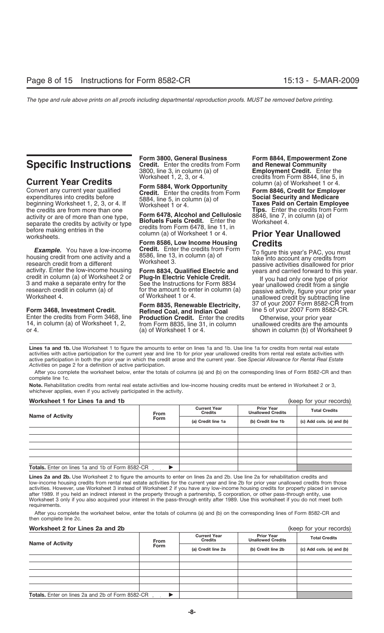Expenditures into credits before **Social Security and Medicare** expenditures into credits before 5884, line 5, in column (a) of **Social Security and Medicare** beginning Worksheet 1, 2, 3, or 4. If Worksheet 1 or 4. **Taxes** the credits are from more than one<br>activity or are of more than one type. Form 6478, Alcohol and Cellulosic separate the credits by activity or type<br>before making entries in the separate the credits by activity of type<br>before making entries in the column (a) of Worksheet 1 or 4.

**Example.** You have a low-income **Credit.** Enter the credits from Form To figure this year's PAC, you must<br>housing credit from one activity and a 8586, line 13, in column (a) of the interesting the properties disallowed fo

Enter the credits from Form 3468, line **Production Credit.** Enter the credits Otherwise, your prior year 14, in column (a) of Worksheet 1, 2, from Form 8835, line 31, in column unallowed credits are the amounts or 4. (a) o

**Form 3800, General Business Form 8844, Empowerment Zone**<br> **Specific Instructions** Credit. Enter the credits from Form and Renewal Community<br>
3800, line 3, in column (a) of Employment Credit. Enter the 3800, line 3, in column (a) of **Employment Credit.** Enter the

**Form 6478, Alcohol and Cellulosic** 8846, line 7, in column (a) of **Biofuels Fuels Credit.** Enter the Worksheet 4,

**Form 8586, Low Income Housing**<br>**Credit.** Enter the credits from Form

**Form 3468, Investment Credit. Refined Coal, and Indian Coal** line 5 of your 2007 Form 8582-CR.<br>Enter the credits from Form 3468, line **Production Credit.** Enter the credits Otherwise, your prior year (a) of Worksheet 1 or 4. Shown in column (b) of Worksheet 9

**Current Year Credits**<br>Convert any current year qualified<br>Convert any current year qualified<br>Credit. Enter the credits from Form **6846**, Credit for Employer

# **Prior Year Unallowed<br>Credits**

**Form 8835, Renewable Electricity, 37 of your 2007 Form 8582-CR from Refined Coal, and Indian Coal Mediciple 5 of your 2007 Form 8582-CR.** 

Lines 1a and 1b. Use Worksheet 1 to figure the amounts to enter on lines 1a and 1b. Use line 1a for credits from rental real estate activities with active participation for the current year and line 1b for prior year unallowed credits from rental real estate activities with active participation in both the prior year in which the credit arose and the current year. See *Special Allowance for Rental Real Estate Activities* on page 2 for a definition of active participation.

After you complete the worksheet below, enter the totals of columns (a) and (b) on the corresponding lines of Form 8582-CR and then complete line 1c.

**Note.** Rehabilitation credits from rental real estate activities and low-income housing credits must be entered in Worksheet 2 or 3, whichever applies, even if you actively participated in the activity.

# **Worksheet 1 for Lines 1a and 1b** (keep for your records)

| <b>THE BULGARY OF LITTLE STATES</b><br>$(1000)$ 101 your 10001001 |             |                                       |                                               |                           |  |  |
|-------------------------------------------------------------------|-------------|---------------------------------------|-----------------------------------------------|---------------------------|--|--|
| <b>Name of Activity</b>                                           | <b>From</b> | <b>Current Year</b><br><b>Credits</b> | <b>Prior Year</b><br><b>Unallowed Credits</b> | <b>Total Credits</b>      |  |  |
|                                                                   | <b>Form</b> | (a) Credit line 1a                    | (b) Credit line 1b                            | (c) Add cols. (a) and (b) |  |  |
|                                                                   |             |                                       |                                               |                           |  |  |
|                                                                   |             |                                       |                                               |                           |  |  |
|                                                                   |             |                                       |                                               |                           |  |  |
|                                                                   |             |                                       |                                               |                           |  |  |
|                                                                   |             |                                       |                                               |                           |  |  |
| <b>Totals.</b> Enter on lines 1a and 1b of Form 8582-CR           |             |                                       |                                               |                           |  |  |

Lines 2a and 2b. Use Worksheet 2 to figure the amounts to enter on lines 2a and 2b. Use line 2a for rehabilitation credits and low-income housing credits from rental real estate activities for the current year and line 2b for prior year unallowed credits from those activities. However, use Worksheet 3 instead of Worksheet 2 if you have any low-income housing credits for property placed in service after 1989. If you held an indirect interest in the property through a partnership, S corporation, or other pass-through entity, use Worksheet 3 only if you also acquired your interest in the pass-through entity after 1989. Use this worksheet if you do not meet both requirements.

After you complete the worksheet below, enter the totals of columns (a) and (b) on the corresponding lines of Form 8582-CR and then complete line 2c.

# **Worksheet 2 for Lines 2a and 2b**

|  |  |  |  | (keep for your records) |  |  |
|--|--|--|--|-------------------------|--|--|
|--|--|--|--|-------------------------|--|--|

| <b>Name of Activity</b>                                 | <b>From</b> | <b>Current Year</b><br><b>Credits</b> | <b>Prior Year</b><br><b>Unallowed Credits</b> | <b>Total Credits</b>      |
|---------------------------------------------------------|-------------|---------------------------------------|-----------------------------------------------|---------------------------|
|                                                         | <b>Form</b> | (a) Credit line 2a                    | (b) Credit line 2b                            | (c) Add cols. (a) and (b) |
|                                                         |             |                                       |                                               |                           |
|                                                         |             |                                       |                                               |                           |
|                                                         |             |                                       |                                               |                           |
|                                                         |             |                                       |                                               |                           |
|                                                         |             |                                       |                                               |                           |
| <b>Totals.</b> Enter on lines 2a and 2b of Form 8582-CR |             |                                       |                                               |                           |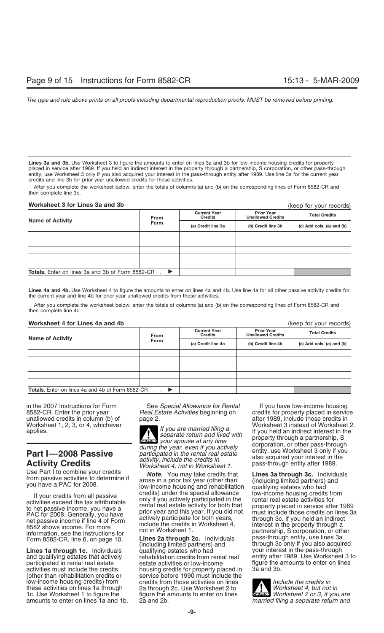**Lines 3a and 3b.** Use Worksheet 3 to figure the amounts to enter on lines 3a and 3b for low-income housing credits for property placed in service after 1989. If you held an indirect interest in the property through a partnership, S corporation, or other pass-through entity, use Worksheet 3 only if you also acquired your interest in the pass-through entity after 1989. Use line 3a for the current year credits and line 3b for prior year unallowed credits for those activities.

After you complete the worksheet below, enter the totals of columns (a) and (b) on the corresponding lines of Form 8582-CR and then complete line 3c.

# **Worksheet 3 for Lines 3a and 3b**

# (keep for your records)

| <b>Name of Activity</b>                                   | From          | <b>Current Year</b><br><b>Credits</b> | <b>Prior Year</b><br><b>Unallowed Credits</b> | <b>Total Credits</b>      |
|-----------------------------------------------------------|---------------|---------------------------------------|-----------------------------------------------|---------------------------|
|                                                           | <b>Form</b>   | (a) Credit line 3a                    | (b) Credit line 3b                            | (c) Add cols. (a) and (b) |
|                                                           |               |                                       |                                               |                           |
|                                                           |               |                                       |                                               |                           |
|                                                           |               |                                       |                                               |                           |
|                                                           |               |                                       |                                               |                           |
|                                                           |               |                                       |                                               |                           |
| <b>Totals.</b> Enter on lines 3a and 3b of Form 8582-CR . | $\rightarrow$ |                                       |                                               |                           |

**Lines 4a and 4b.** Use Worksheet 4 to figure the amounts to enter on lines 4a and 4b. Use line 4a for all other passive activity credits for the current year and line 4b for prior year unallowed credits from those activities.

After you complete the worksheet below, enter the totals of columns (a) and (b) on the corresponding lines of Form 8582-CR and then complete line 4c.

**Worksheet 4 for Lines 4a and 4b** (keep for your records) **Prior Year Unallowed Credits Current Year Credits Credits Credits Credits Credit Credit Credit Credit in the collection of Activity <b>Form (a)** Credit line 4a **(b)** Credit line 4b **(c)** Add cols. (a) and (b) Totals. Enter on lines 4a and 4b of Form 8582-CR **→** 

these activities on lines 1a through 2a through 2c. Use Worksheet 2 to **1** to *Lection 1* to figure the *amounts* to enter on lines 1c. Use Worksheet 1 to figure the figure the amounts to enter on lines amounts to enter on lines 1a and 1b. 2a and 2b.

in the 2007 Instructions for Form See *Special Allowance for Rental* If you have low-income housing<br>8582-CR. Enter the prior year *Real Estate Activities* beginning on credits for property placed in servic 8582-CR. Enter the prior year *Real Estate Activities* beginning on credits for property placed in service

**EAUTION** your spouse at any time **Part I—2008 Passive**<br> **Part I—2008 Passive**<br> **Part I—2008 Passive**<br> **Part I—2008 Passive**<br> **Part I—2008 Passive**<br> *participated in the rental real estate*<br> *Worksheet 4, not in Worksheet 1.* Pass-through entity after 1989

Use Part I to combine your credits<br>from passive activities to determine if<br>you have a PAC for 2008.<br>If your credits from all passive<br> $\frac{1}{2}$  arose in a prior tax year (other than<br>low-income housing and rehabilitation qua

and qualifying estates that actively rehabilitation credits from rental real participated in rental real estate  $\frac{1}{10}$  estate activities or low-income participated in rental real estate estate estate activities or low-income figure the amounts to enter on lines activities must include the credits housing credits for property placed in 3a and 3b. activities must include the credits housing credits for property placed in 3a and 3b. Total 3b. and 3b. And 3b<br>3 and 300 and 300 must include the 3b. and 3b. and 3b. and 3b. and 3b. and 3b. and 3b. and 3b. and 3b. and 3b. (other than rehabilitation credits or service before 1990 must include the low-income housing credits) from server credits from those activities on lines low-income housing credits) from credits from those activities on lines *Include the credits in*

unallowed credits in column (b) of page 2.<br>Worksheet 1, 2, 3, or 4, whichever **and the page 14 years are measured filips** a more worksheet 3 instead of Worksheet 2. Worksheet 1, 2, 3, or 4, whichever<br>applies. If you are married filing a supplies. If you held an indirect interest in the<br>your spouse at any time property through a partnership, S<br>corporation or other pass-through

If your credits from all passive<br>activities exceed the tax attributable<br>to net passive income, you have a<br>participated in the special allowance<br>to net passive income, you have a<br>prior year and this year, If you did not<br>pro **Lines 1a through 1c.** Individuals and qualifying estates who had your interest in the pass-through and qualifying estates that actively rehabilitation credits from rental real entity after 1989. Use Worksheet 3 to

> **ENTION** Worksheet 2 or 3, if you are married filing a separate return and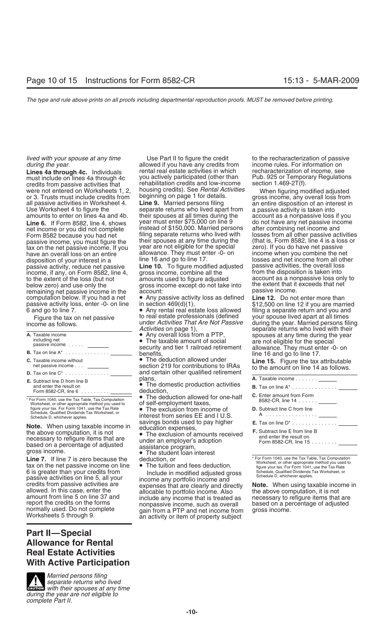were not entered on Worksheets 1, 2, housing credits). See *Hental Activities* When figuring modified adjusted or 3. Trusts must include credits from beginning on page 1 for details. gross income, any overall loss from or 3. Trusts must include credits from beginning on page 1 for details<br>all passive activities in Worksheet 4. **Line 9.** Married persons filing

tax on the net passive income. If you year are not eligible for the special<br>have an overall loss on an entire allowance. They must enter -0- on disposition of your interest in a line 16 and go to line 17. losses and net income from all other<br>passive activity, reduce net passive **Line 10.** To figure modified adjusted passive activities, the overall loss income, if any, on Form 8582, line 4, gross income, combine all the to the extent of the loss (but not amounts used to figure adjusted remaining net passive income in the account:<br>computation below. If you had a net <br>Any passive activity loss as defined Line 12. Do not enter more than passive activity loss, enter -0- on line in section 469(d)(1),<br>6 and go to line 7.  $\bullet$  Any rental real estate loss allowed

|                                                                 |                                                                                                             | <b>SUPPLICITY INTO MILLY INVOCED INTO THE CONTROL</b>                                                        |
|-----------------------------------------------------------------|-------------------------------------------------------------------------------------------------------------|--------------------------------------------------------------------------------------------------------------|
| A. Taxable income<br>including net<br>passive income ________   | • Any overall loss from a PTP,<br>• The taxable amount of social<br>security and tier 1 railroad retirement | spouses at any time during the year<br>are not eligible for the special<br>allowance. They must enter -0- on |
| <b>B.</b> Tax on line $A^*$                                     | benefits.                                                                                                   | line 16 and go to line 17.                                                                                   |
| C. Taxable income without<br>net passive income                 | • The deduction allowed under<br>section 219 for contributions to IRAs                                      | Line 15. Figure the tax attributable<br>to the amount on line 14 as follows.                                 |
| <b>D.</b> Tax on line $C^*$                                     | and certain other qualified retirement                                                                      |                                                                                                              |
| <b>E.</b> Subtract line D from line B                           | plans,                                                                                                      | A. Taxable income ______                                                                                     |
| and enter the result on<br>Form 8582-CR, line $6 \ldots \ldots$ | • The domestic production activities<br>deduction.                                                          | <b>B.</b> Tax on line A <sup>*</sup> <u>.</u>                                                                |
|                                                                 | • The deduction allowed for one-half                                                                        | <b>C.</b> Enter amount from Form                                                                             |
| * Ear Farm 1040, use the Tay Table, Tay Camputation             |                                                                                                             |                                                                                                              |

Worksheet, or other appropriate method you used to dividel for my our tax. For Form 1041, use the Tax Rate **Table 7582-COMPUT The exclusion from income of** The structural or the faxes, figure your tax. For Form 1041, use the Tax Rate Schedule, Qualified Dividends Tax Worksheet, or

**Note.** When using taxable income in<br>
the above computation, it is not<br>
necessary to refigure items that are<br>
based on a percentage of adjusted<br>
gross income.<br> **a** The student loan interest<br> **a** The student loan interest<br>

**Line 7.** If line 7 is zero because the deduction, or<br>
tax on the net passive income on line  $\bullet$  The tuition and fees deduction.<br>
6 is greater than your credits from the state of the Tax Rate of the Tax Rate of the Tax Ra

# **Part II—Special Allowance for Rental Real Estate Activities With Active Participation**



*Married persons filing separate returns who lived* **CAUTION** *Separate returns who lived*<br> **EAUTION** *with their spouses at any time during the year are not eligible to complete Part II.*

*lived with your spouse at any time* Use Part II to figure the credit to the recharacterization of passive *during the year.*<br> **Lines 4a through 4c.** Individuals and the rental real estate activities in which a recharacterization of income, see **Lines 4a through 4c.** Individuals rental real estate activities in which recharacterization of income, see<br>must include on lines 4a through 4c you actively participated (other than Pub. 925 or Temporary Regulations you actively participated (other than Pub. 925 or Tempor<br>rehabilitation credits and low-income section 1.469-2T(f). credits from passive activities that rehabilitation credits and low-income were not entered on Worksheets 1.2 housing credits). See *Rental Activities* 

Use Worksheet 4 to figure the separate returns who lived apart from a passive activity is taken into amounts to enter on lines 4a and 4b. their spouses at all times during the account as a nonpassive loss if you<br>Line 6. If Form 8582. line 4. shows year must enter \$75,000 on line 9 do not have any net passive income Line 6. If Form 8582, line 4, shows year must enter \$75,000 on line 9 do not have any net passive income and lead<br>The tincome or you did not complete instead of \$150,000. Married persons after combining net income and net income or you did not complete instead of \$150,000. Married persons after combining net income and<br>Form 8582 because you had net filing separate returns who lived with losses from all other passive act Form 8582 because you had net filing separate returns who lived with losses from all other passive activities<br>passive income, you must figure the their spouses at any time during the (that is, Form 8582, line 4 is a loss o passive income, you must figure the their spouses at any time during the duriat is, Form 8582, line 4 is a los<br>tax on the net passive income, If you year are not eligible for the special zero). If you do have net passive have an overall loss on an entire dillowance. They must enter -0- on income when you combine the net<br>disposition of your interest in a line 16 and go to line 17.

passive activity, reduce net passive **Line 10.** To figure modified adjusted passive activities, the overall loss below zero) and use only the gross income except do not take into the extent that it extent that it extent that it extent that it extent that it extent that it extent that it extent of the account:

computation below. If you had a net • Any passive activity loss as defined **Line 12.** Do not enter more than passive activity loss, enter -0- on line in section 469(d)(1),  $$12,500$  on line 12 if you are married

 $\bullet$  Any rental real estate loss allowed  $\qquad$  filing a separate return and you and<br>to real estate professionals (defined  $\qquad$  your spouse lived apart at all times Figure the tax on net passive to real estate professionals (defined your spouse lived apart at all times<br>ome as follows come as follows

deduction,<br>• The deduction allowed for one-half<br>of self-employment taxes,

Schedule, Qualified Dividends Tax Worksheet, or A ................ Schedule D, whichever applies. interest from series EE and I U.S.

Finally used. Do not complete<br>
Worksheets 5 through 9.<br>
Worksheets 5 through 9.<br>
Worksheets 5 through 9.<br>
Worksheets 5 through 9.<br>
Worksheets 5 through 9.<br>
Mote. When using taxable income in<br>
allowed. In this case, enter t

an entire disposition of an interest in account as a nonpassive loss only to<br>the extent that it exceeds that net

income as follows. under *Activities That Are Not Passive* during the year. Married persons filing *Activities* on page 1), separate returns who lived with their<br>• Any overall loss from a PTP, spouses at any time during the year

| <b>A.</b> Taxable income                                                                                                                                      |
|---------------------------------------------------------------------------------------------------------------------------------------------------------------|
| <b>B.</b> Tax on line $A^*$                                                                                                                                   |
| <b>C.</b> Enter amount from Form<br>8582-CR, line 14                                                                                                          |
| <b>D.</b> Subtract line C from line<br>A                                                                                                                      |
| <b>E.</b> Tax on line $D^*$                                                                                                                                   |
| <b>F.</b> Subtract line F from line B<br>and enter the result on<br>Form 8582-CR, line 15                                                                     |
|                                                                                                                                                               |
| * For Form 1040, use the Tax Table, Tax Computation<br>Worksheet, or other appropriate method you used to<br>figure your tax. For Form 1041, use the Tax Rate |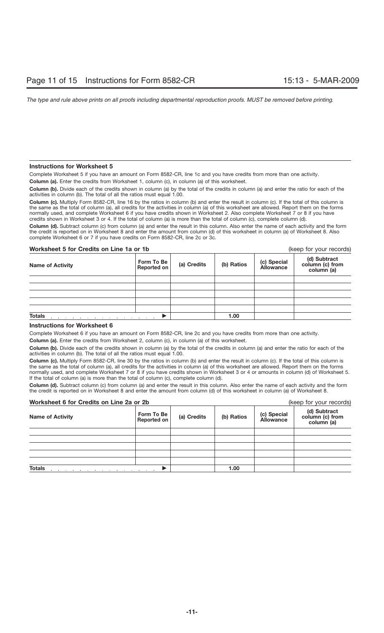# **Instructions for Worksheet 5**

Complete Worksheet 5 if you have an amount on Form 8582-CR, line 1c and you have credits from more than one activity.

**Column (a).** Enter the credits from Worksheet 1, column (c), in column (a) of this worksheet.

**Column (b).** Divide each of the credits shown in column (a) by the total of the credits in column (a) and enter the ratio for each of the activities in column (b). The total of all the ratios must equal 1.00.

Column (c). Multiply Form 8582-CR, line 16 by the ratios in column (b) and enter the result in column (c). If the total of this column is the same as the total of column (a), all credits for the activities in column (a) of this worksheet are allowed. Report them on the forms normally used, and complete Worksheet 6 if you have credits shown in Worksheet 2. Also complete Worksheet 7 or 8 if you have credits shown in Worksheet 3 or 4. If the total of column (a) is more than the total of column (c), complete column (d).

**Column (d).** Subtract column (c) from column (a) and enter the result in this column. Also enter the name of each activity and the form the credit is reported on in Worksheet 8 and enter the amount from column (d) of this worksheet in column (a) of Worksheet 8. Also complete Worksheet 6 or 7 if you have credits on Form 8582-CR, line 2c or 3c.

# **Worksheet 5 for Credits on Line 1a or 1b** (keep for your records)

| <b>Name of Activity</b>                                                                                                                                                                                                                         | Form To Be<br>Reported on | (a) Credits | (b) Ratios | (c) Special<br>Allowance | (d) Subtract<br>column (c) from<br>column (a) |
|-------------------------------------------------------------------------------------------------------------------------------------------------------------------------------------------------------------------------------------------------|---------------------------|-------------|------------|--------------------------|-----------------------------------------------|
|                                                                                                                                                                                                                                                 |                           |             |            |                          |                                               |
|                                                                                                                                                                                                                                                 |                           |             |            |                          |                                               |
|                                                                                                                                                                                                                                                 |                           |             |            |                          |                                               |
|                                                                                                                                                                                                                                                 |                           |             |            |                          |                                               |
|                                                                                                                                                                                                                                                 |                           |             |            |                          |                                               |
| <b>Totals</b><br>the contract of the contract of the contract of the contract of the contract of the contract of the contract of the contract of the contract of the contract of the contract of the contract of the contract of the contract o |                           |             | 1.00       |                          |                                               |

# **Instructions for Worksheet 6**

Complete Worksheet 6 if you have an amount on Form 8582-CR, line 2c and you have credits from more than one activity.

**Column (a).** Enter the credits from Worksheet 2, column (c), in column (a) of this worksheet.

**Column (b).** Divide each of the credits shown in column (a) by the total of the credits in column (a) and enter the ratio for each of the activities in column (b). The total of all the ratios must equal 1.00.

**Column (c).** Multiply Form 8582-CR, line 30 by the ratios in column (b) and enter the result in column (c). If the total of this column is the same as the total of column (a), all credits for the activities in column (a) of this worksheet are allowed. Report them on the forms normally used, and complete Worksheet 7 or 8 if you have credits shown in Worksheet 3 or 4 or amounts in column (d) of Worksheet 5. If the total of column (a) is more than the total of column (c), complete column (d).

**Column (d).** Subtract column (c) from column (a) and enter the result in this column. Also enter the name of each activity and the form the credit is reported on in Worksheet 8 and enter the amount from column (d) of this worksheet in column (a) of Worksheet 8.

| Worksheet 6 for Credits on Line 2a or 2b                                                         |                           |             | (keep for your records) |                                 |                                               |
|--------------------------------------------------------------------------------------------------|---------------------------|-------------|-------------------------|---------------------------------|-----------------------------------------------|
| <b>Name of Activity</b>                                                                          | Form To Be<br>Reported on | (a) Credits | (b) Ratios              | (c) Special<br><b>Allowance</b> | (d) Subtract<br>column (c) from<br>column (a) |
|                                                                                                  |                           |             |                         |                                 |                                               |
|                                                                                                  |                           |             |                         |                                 |                                               |
|                                                                                                  |                           |             |                         |                                 |                                               |
|                                                                                                  |                           |             |                         |                                 |                                               |
|                                                                                                  |                           |             |                         |                                 |                                               |
| <b>Totals</b><br>and a series of the contract of the contract of the contract of the contract of |                           |             | 1.00                    |                                 |                                               |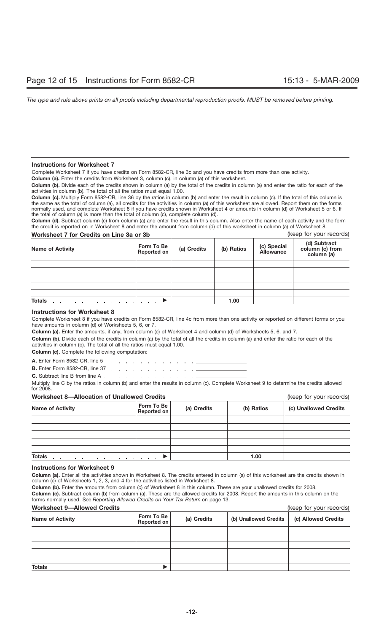# **Instructions for Worksheet 7**

Complete Worksheet 7 if you have credits on Form 8582-CR, line 3c and you have credits from more than one activity.

**Column (a).** Enter the credits from Worksheet 3, column (c), in column (a) of this worksheet.

**Column (b).** Divide each of the credits shown in column (a) by the total of the credits in column (a) and enter the ratio for each of the activities in column (b). The total of all the ratios must equal 1.00.

**Column (c).** Multiply Form 8582-CR, line 36 by the ratios in column (b) and enter the result in column (c). If the total of this column is the same as the total of column (a), all credits for the activities in column (a) of this worksheet are allowed. Report them on the forms normally used, and complete Worksheet 8 if you have credits shown in Worksheet 4 or amounts in column (d) of Worksheet 5 or 6. If the total of column (a) is more than the total of column (c), complete column (d).

**Column (d).** Subtract column (c) from column (a) and enter the result in this column. Also enter the name of each activity and the form the credit is reported on in Worksheet 8 and enter the amount from column (d) of this worksheet in column (a) of Worksheet 8.

| Worksheet 7 for Credits on Line 3a or 3b |                           |             |            |                                 | (keep for your records)                       |
|------------------------------------------|---------------------------|-------------|------------|---------------------------------|-----------------------------------------------|
| <b>Name of Activity</b>                  | Form To Be<br>Reported on | (a) Credits | (b) Ratios | (c) Special<br><b>Allowance</b> | (d) Subtract<br>column (c) from<br>column (a) |
|                                          |                           |             |            |                                 |                                               |
|                                          |                           |             |            |                                 |                                               |
|                                          |                           |             |            |                                 |                                               |
|                                          |                           |             |            |                                 |                                               |
|                                          |                           |             |            |                                 |                                               |
| <b>Totals</b>                            |                           |             | 1.00       |                                 |                                               |

# **Instructions for Worksheet 8**

Complete Worksheet 8 if you have credits on Form 8582-CR, line 4c from more than one activity or reported on different forms or you have amounts in column (d) of Worksheets 5, 6, or 7.

**Column (a).** Enter the amounts, if any, from column (c) of Worksheet 4 and column (d) of Worksheets 5, 6, and 7.

**Column (b).** Divide each of the credits in column (a) by the total of all the credits in column (a) and enter the ratio for each of the activities in column (b). The total of all the ratios must equal 1.00.

**Column (c).** Complete the following computation:

**A.** Enter Form 8582-CR, line 5 والمتعاط والمتعارف والمتعاط والمتعاط والمتعاط **B.** Enter Form 8582-CR, line 37 (a)  $\therefore$  (b) (b) (c) (c) (c) (c) (c) (c) (c)

**C.** Subtract line B from line A . . . . . . . . . . . . . . . . .

Multiply line C by the ratios in column (b) and enter the results in column (c). Complete Worksheet 9 to determine the credits allowed for 2008.

# **Worksheet 8—Allocation of Unallowed Credits** (keep for your records)

| <b>Name of Activity</b>                                                                                                                                       | Form To Be<br>Reported on | (a) Credits | (b) Ratios | (c) Unallowed Credits |
|---------------------------------------------------------------------------------------------------------------------------------------------------------------|---------------------------|-------------|------------|-----------------------|
|                                                                                                                                                               |                           |             |            |                       |
|                                                                                                                                                               |                           |             |            |                       |
|                                                                                                                                                               |                           |             |            |                       |
|                                                                                                                                                               |                           |             |            |                       |
|                                                                                                                                                               |                           |             |            |                       |
| <b>Totals</b><br>the contract of the contract of the contract of the contract of the contract of the contract of the contract of<br>.<br>$\sim$ $\sim$ $\sim$ |                           |             | 1.00       |                       |

# **Instructions for Worksheet 9**

**Column (a).** Enter all the activities shown in Worksheet 8. The credits entered in column (a) of this worksheet are the credits shown in column (c) of Worksheets 1, 2, 3, and 4 for the activities listed in Worksheet 8.

**Column (b).** Enter the amounts from column (c) of Worksheet 8 in this column. These are your unallowed credits for 2008. **Column (c).** Subtract column (b) from column (a). These are the allowed credits for 2008. Report the amounts in this column on the forms normally used. See *Reporting Allowed Credits on Your Tax Return* on page 13.

# **Worksheet 9—Allowed Credits** (keep for your records)

| <u>WULKSILEEL S—AIIOWEU CIEUILS</u>                                                                                                                                                                                                             |                           |             | IVEED IN YOUI IECOIDS) |                     |
|-------------------------------------------------------------------------------------------------------------------------------------------------------------------------------------------------------------------------------------------------|---------------------------|-------------|------------------------|---------------------|
| <b>Name of Activity</b>                                                                                                                                                                                                                         | Form To Be<br>Reported on | (a) Credits | (b) Unallowed Credits  | (c) Allowed Credits |
|                                                                                                                                                                                                                                                 |                           |             |                        |                     |
|                                                                                                                                                                                                                                                 |                           |             |                        |                     |
|                                                                                                                                                                                                                                                 |                           |             |                        |                     |
|                                                                                                                                                                                                                                                 |                           |             |                        |                     |
|                                                                                                                                                                                                                                                 |                           |             |                        |                     |
| <b>Totals</b><br>the contract of the contract of the contract of the contract of the contract of the contract of the contract of the contract of the contract of the contract of the contract of the contract of the contract of the contract o |                           |             |                        |                     |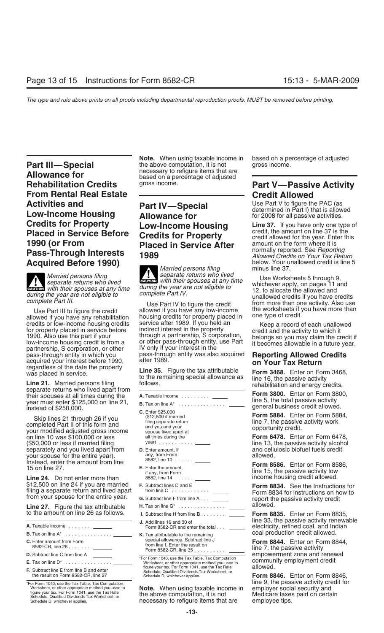**Part III—Special** the above computation, it is not group.<br> **Allowance for** example the recessary to refigure items that are **Allowance for**<br>**Rehabilitation Credits** based on a percentage of adjusted<br>**Rehabilitation Credits** gross income. **From Rental Real Estate Credit Allowed Activities and Part IV—Special Constitution Constrained in Pact (as allowed Low-Income Housing and <b>Part IV—Special** determined in Part I) that is allowed **Low-Income Housing Allowance for for 2008** for all passive acti **Credits for Property**<br>**Placed in Service Before Credits for Property** Credit, the amount on line 37 is the **Placed in Service Before Credits for Property** credit, the amount on line 37 is the **1990 (or From Service After Service After** amount on the form where it is normally reported. See *Reporting* **Pass-Through Interests <sup>1989</sup>** *Allowed Credits on Your Tax Return* **Acquired Before 1990)** below. Your unallowed **Before 1990** 

pass-through entity in which you pass-through entity was also acquired **Reporting Allowed Credits** acquired your interest before 1990, after 1989.<br>acquired your interest before 1990, after 1989. **on Your Tax Return** regard

Form 3468. Enter on Form 3468,<br>
Line 35. Figure the tax attributable<br>
to the remaining special allowance as<br>
line 16, the passive activity<br>
their spouses at all times during the<br>
their spouses at all times during the<br>
thei

on modified adjusted gross income<br>
on line 10 was \$100,000 or less all times during the **Form 6478.** Enter on Form 6478,<br>
San ono or less if married filing the the same of the **Form 6478.** Enter on Form 6478, Line 13, the year) ........... (\$50,000 or less if married filing line 13, the passive activity alcohol separately and you lived apart from **D.** Enter amount, if **Source and cellulosic biograph** and cellulosic biography function form **comparation** allowed. your spouse for the entire year).  $\frac{1}{2}$  any, from Form any, from  $\frac{1}{2}$ 

Line 24. Do not enter more than 8582, line 14 ....... \_\_\_\_\_\_ income housing credit allowed.<br>\$12,500 on line 24 if you are married F. Subtract lines D and E **Form 8834** See the Instruction

**H.** Tax on line G\* allowed. **Line 27.** Figure the tax attributable ...............

- **B.** Tax on line A\* ............... coal production credit allowed. **K.** Tax attributable to the remaining
- 
- 
- 

**Note.** When using taxable income in based on a percentage of adjusted the above computation, it is not gross income.

# **Placed in Service After** amount on the form where it is<br>**1990** (or mormally reported. See *Reporting*)

*Married persons filing<br>separate returns who lived Married persons filing* **CAUTION** *separate returns who lived* Use Worksheets 5 through 9, *separate returns who lived* Use Worksheets 5 through 9, *separate returns who lived* Use Worksheets 5 through 9, which events who lived<br> **CAUTION** *with their spouses at any time during the year are not eligible to not allocate the allowed and*<br> **CAUTION** *with their spouses at any time during the year are not eligible to* **1** 

Use Part III to figure the credit allowed if you have any low-income the worksheets if y<br>allowed if you have any rehabilitation housing credits for property placed in one type of credit. housing credits for property placed in<br>service after 1989. If you held an credits or low-income housing credits<br>for property placed in service before indirect interest in the property<br>1990. Also use this part if your through a partnership, S corporation, belongs so you may claim the credit if<br>lo

- 
- 
- 
- 
- 
- 
- 
- 
- 

figure your tax. For Form 1041, use the Tax Rate allowed. **F.** Subtract line E from line B and enter Schedule, Qualified Dividends Tax Worksheet, or the result on Form 8582-CR, line 27 Schedule D, whichever applies. **Form 8846.** Enter on Form 8846,

figure your tax. For Form 1041, use the Tax Rate<br>
Schedule, Qualified Dividends Tax Worksheet, or<br>
Schedule D, whichever applies.<br>
Schedule D, whichever applies.<br>
The above computation, it is not<br>
mecessary to refigure ite necessary to refigure items that are

# **Part V—Passive Activity**

with their spouses at any time during the year are not eligible to<br>during the year are not eligible to<br>complete Part IV.<br>Complete Part IV to figure the credit to the worksheets if you have more than<br>lowed if you have any l

Instead, enter the amount from line  $\frac{8582, \text{ m} \times 10^{-1} \text{ J}}{\text{E}}$  **Form 8586.** Enter on Form 8586, 15 on line 27. if any, from Form line 15, the passive activity low

\$12,500 on line 24 if you are married **F.** Subtract lines D and E **Form 8834.** See the Instructions for filing a separate return and lived apart from line C ............ Form 8834 for instructions on how to from your spouse for the entire year. **G.** Subtract line F from line A . . . report the passive activity credit

I. Subtract line H from line B ....... **ILLET Form 8835.** Enter on Form 8835, **J.** Add lines 16 and 30 of line 33, the passive activity renewable Form 8582-CR and enter the total... electricity, refined coal, and Indian **A.** Taxable income ....... Form 8582-CR and enter the total . . . electricity, refined coal, and Indian

**C.** special allowance. Subtract line J Enter amount from Form **Form 8844.** Enter on Form 8844, from line I. Enter the result on 8582-CR, line 26 ....... Form 8582-CR, line 35 .......... line 7, the passive activity **D.** Subtract line C from line A empowerment zone and renewal \*For Form 1040, use the Tax Table, Tax Computation community employment credit allowed.

\*For Form 1040, use the Tax Table, Tax Computation<br>Worksheet, or other appropriate method you used to **Note.** When using taxable income in employer social security and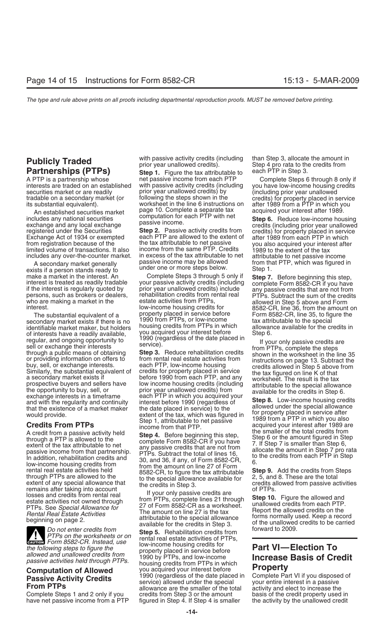interests are traded on an established with passive activity credits (including your have low-<br>income prior year unallowed credits) by

An established securities market and page 10. Complete a separate tax<br>includes any national securities computation for each PTP with net<br>exchange and any local exchange passive income.<br>Figure 2. Passive activity credits fr

exists if a person stands ready to under one or more steps below.<br>make a market in the interest. An Complete Steps 3 through 5 only if

of interests have a readily available,<br>
solution interest before the step of the case and the step of the step of the date placed in<br>
sell or exchange their interests<br>
sell or exchange their interests<br>
sell or exchange int

A credit from a passive activity held<br>
the state of the state of the total credits from<br>
the state of the total credits from<br>
extent of the tax attributable to net<br>
passive income from that partnership.<br>
TP is Subtract th

Do not enter credits from<br>
PTPs on the worksheets or on<br>
Form 8582-CR. Instead, use<br>  $\frac{1}{2}$  low-income housing credits for<br>  $\frac{1}{2}$  income housing credits for<br>  $\frac{1}{2}$  1.11 low-income housing credits for *the following steps to figure the* property placed in service before **Part VI—Election To**

Complete Steps 1 and 2 only if you credits from Step 3 or the amount have net passive income from a PTP figured in Step 4. If Step 4 is smaller have net passive income from a PTP figured in Step 4. If Step 4 is smaller the activity by the unallowed credit

**Step 1.** Figure the tax attributable to net passive income from each PTP A PTP is a partnership whose net passive income from each PTP complete Steps 6 through 8 only if<br>interests are traded on an established with passive activity credits (including you have low-income housing credits securities market or are readily example of prior year unallowed credits) by a concluding prior year unallowed<br>tradable on a secondary market (or following the steps shown in the secondits) for property placed in s tradable on a secondary market (or iff following the steps shown in the credits) for property placed in service its substantial equivalent). worksheet in the line 6 instructions on after 1989 from a PTP in which you

Exchange Act of 1934 or exempted each PTP are allowed to the extent of after 1989 from each PTP in which<br>from registration because of the tax attributable to net passive you also acquired your interest after<br>limited volume includes any over-the-counter market. in excess of the tax attributable to net attributable to net attributabl<br>A secondary market generally A secondary market generally passive income may be allowed from that PTP, which was figured in<br>sts if a person stands ready to under one or more steps below. Step 1.

make a market in the interest. An Complete Steps 3 through 5 only if **Step 7.** Before beginning this step, interest is treated as readily tradable your passive activity credits (including complete Form 8582-CR if you have persons, such as brokers or dealers, renabilitation credits from rental real prips. Subtract the sum of the credits<br>who are making a market in the estate activities from PTPs, allowed in Step 5 above and Form<br>interest.<br>The The substantial equivalent of a statude property placed in service before Form 8582-CR, line 35, to figure the<br>condary market exists if there is no 1990 from PTPs, or low-income tax attributable to the special secondary market exists if there is no<br>identifiable market maker, but holders bousing credits from PTPs in which allowance available for the credits in identifiable market maker, but holders housing credits from PTPs in which allowance allowance allowance available for the credits interests have a readily available. You acquired your interest before Step 6.

*allowed and unallowed credits from* 1990 by PTPs, and low-income **Increase Basis of Credit** *passive activities held through PTPs.* housing credits from PTPs in which **Computation of Allowed** you acquired your interest before **Property**<br> **Passive Activity Credits** 1990 (regardless of the date placed in Complete Part VI if you disposed of service) allowed under the special your entire in

**Publicly Traded** with passive activity credits (including than Step 3, allocate the amount in prior year unallowed credits).<br>**Partnerships (PTPs)** Step 1. Figure the tax attributable to each PTP in Step 3.